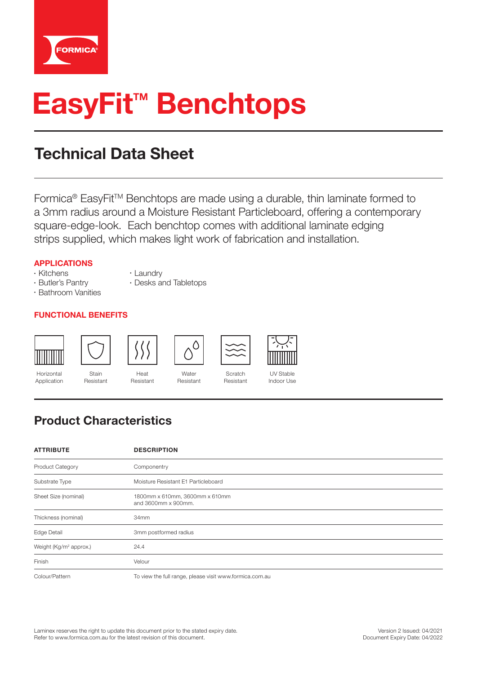

# **EasyFit<sup>™</sup> Benchtops**

# Technical Data Sheet

Formica<sup>®</sup> EasyFit<sup>™</sup> Benchtops are made using a durable, thin laminate formed to a 3mm radius around a Moisture Resistant Particleboard, offering a contemporary square-edge-look. Each benchtop comes with additional laminate edging strips supplied, which makes light work of fabrication and installation.

#### **APPLICATIONS**

- Kitchens
- Butler's Pantry
- Bathroom Vanities
	-

#### **FUNCTIONAL BENEFITS**



Horizontal Application



Stain Resistant



Resistant



• Desks and Tabletops

• Laundry

**Water** Resistant

 $\circlearrowright$ 



UV Stable Indoor Use

### Product Characteristics

| <b>ATTRIBUTE</b>                   | <b>DESCRIPTION</b>                                      |  |
|------------------------------------|---------------------------------------------------------|--|
| <b>Product Category</b>            | Componentry                                             |  |
| Substrate Type                     | Moisture Resistant E1 Particleboard                     |  |
| Sheet Size (nominal)               | 1800mm x 610mm, 3600mm x 610mm<br>and 3600mm x 900mm.   |  |
| Thickness (nominal)                | 34mm                                                    |  |
| <b>Edge Detail</b>                 | 3mm postformed radius                                   |  |
| Weight (Kg/m <sup>2</sup> approx.) | 24.4                                                    |  |
| Finish                             | Velour                                                  |  |
| Colour/Pattern                     | To view the full range, please visit www.formica.com.au |  |

Scratch Resistant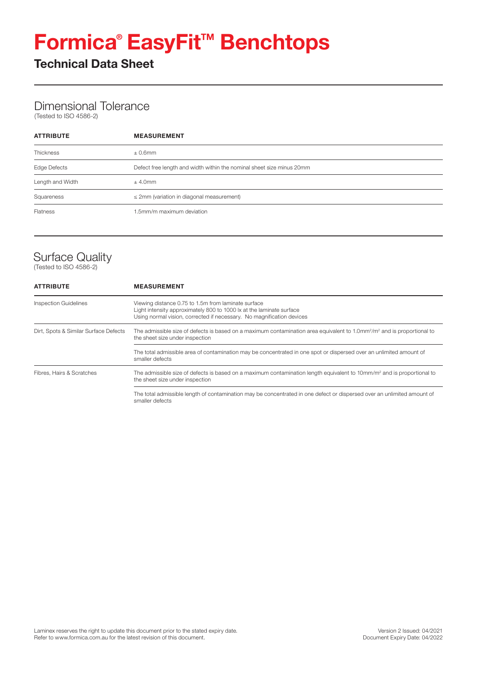# **Formica®EasyFit™ Benchtops**

Technical Data Sheet

#### Dimensional Tolerance

(Tested to ISO 4586-2)

| <b>ATTRIBUTE</b> | <b>MEASUREMENT</b>                                                    |  |
|------------------|-----------------------------------------------------------------------|--|
| <b>Thickness</b> | $\pm$ 0.6mm                                                           |  |
| Edge Defects     | Defect free length and width within the nominal sheet size minus 20mm |  |
| Length and Width | $±$ 4.0mm                                                             |  |
| Squareness       | $\leq$ 2mm (variation in diagonal measurement)                        |  |
| Flatness         | 1.5mm/m maximum deviation                                             |  |

## Surface Quality

(Tested to ISO 4586-2)

| <b>ATTRIBUTE</b>                      | <b>MEASUREMENT</b>                                                                                                                                                                                   |  |  |  |
|---------------------------------------|------------------------------------------------------------------------------------------------------------------------------------------------------------------------------------------------------|--|--|--|
| <b>Inspection Guidelines</b>          | Viewing distance 0.75 to 1.5m from laminate surface<br>Light intensity approximately 800 to 1000 lx at the laminate surface<br>Using normal vision, corrected if necessary. No magnification devices |  |  |  |
| Dirt, Spots & Similar Surface Defects | The admissible size of defects is based on a maximum contamination area equivalent to 1.0mm <sup>2</sup> /m <sup>2</sup> and is proportional to<br>the sheet size under inspection                   |  |  |  |
|                                       | The total admissible area of contamination may be concentrated in one spot or dispersed over an unlimited amount of<br>smaller defects                                                               |  |  |  |
| Fibres, Hairs & Scratches             | The admissible size of defects is based on a maximum contamination length equivalent to 10mm/m <sup>2</sup> and is proportional to<br>the sheet size under inspection                                |  |  |  |
|                                       | The total admissible length of contamination may be concentrated in one defect or dispersed over an unlimited amount of<br>smaller defects                                                           |  |  |  |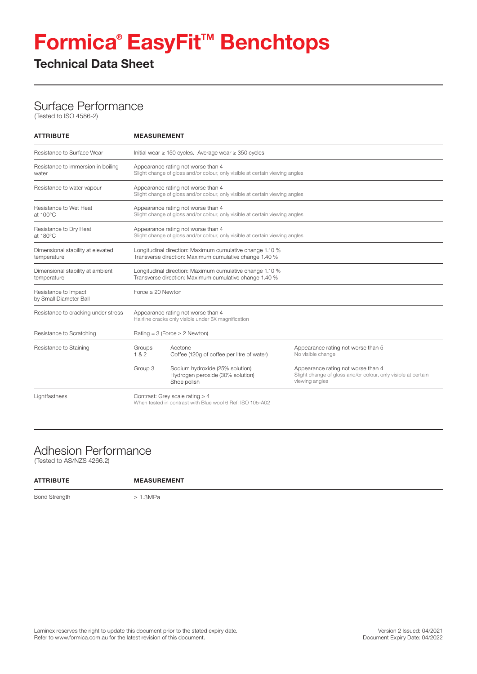# **Formica®EasyFit™ Benchtops**

#### Technical Data Sheet

#### Surface Performance

(Tested to ISO 4586-2)

| <b>ATTRIBUTE</b>                                 | <b>MEASUREMENT</b>                                                                                                 |                                                                                                                    |                                                                                                                       |  |  |
|--------------------------------------------------|--------------------------------------------------------------------------------------------------------------------|--------------------------------------------------------------------------------------------------------------------|-----------------------------------------------------------------------------------------------------------------------|--|--|
| Resistance to Surface Wear                       | Initial wear $\geq$ 150 cycles. Average wear $\geq$ 350 cycles                                                     |                                                                                                                    |                                                                                                                       |  |  |
| Resistance to immersion in boiling<br>water      | Appearance rating not worse than 4<br>Slight change of gloss and/or colour, only visible at certain viewing angles |                                                                                                                    |                                                                                                                       |  |  |
| Resistance to water vapour                       |                                                                                                                    | Appearance rating not worse than 4<br>Slight change of gloss and/or colour, only visible at certain viewing angles |                                                                                                                       |  |  |
| Resistance to Wet Heat<br>at 100°C               |                                                                                                                    | Appearance rating not worse than 4<br>Slight change of gloss and/or colour, only visible at certain viewing angles |                                                                                                                       |  |  |
| Resistance to Dry Heat<br>at $180^{\circ}$ C     |                                                                                                                    | Appearance rating not worse than 4<br>Slight change of gloss and/or colour, only visible at certain viewing angles |                                                                                                                       |  |  |
| Dimensional stability at elevated<br>temperature |                                                                                                                    | Longitudinal direction: Maximum cumulative change 1.10 %<br>Transverse direction: Maximum cumulative change 1.40 % |                                                                                                                       |  |  |
| Dimensional stability at ambient<br>temperature  | Longitudinal direction: Maximum cumulative change 1.10 %<br>Transverse direction: Maximum cumulative change 1.40 % |                                                                                                                    |                                                                                                                       |  |  |
| Resistance to Impact<br>by Small Diameter Ball   | Force $\geq 20$ Newton                                                                                             |                                                                                                                    |                                                                                                                       |  |  |
| Resistance to cracking under stress              | Appearance rating not worse than 4<br>Hairline cracks only visible under 6X magnification                          |                                                                                                                    |                                                                                                                       |  |  |
| Resistance to Scratching                         | Rating = $3$ (Force $\geq 2$ Newton)                                                                               |                                                                                                                    |                                                                                                                       |  |  |
| Resistance to Staining                           | Groups<br>182                                                                                                      | Acetone<br>Coffee (120g of coffee per litre of water)                                                              | Appearance rating not worse than 5<br>No visible change                                                               |  |  |
|                                                  | Group 3                                                                                                            | Sodium hydroxide (25% solution)<br>Hydrogen peroxide (30% solution)<br>Shoe polish                                 | Appearance rating not worse than 4<br>Slight change of gloss and/or colour, only visible at certain<br>viewing angles |  |  |
| Lightfastness                                    | Contrast: Grey scale rating $\geq 4$<br>When tested in contrast with Blue wool 6 Ref: ISO 105-A02                  |                                                                                                                    |                                                                                                                       |  |  |

#### Adhesion Performance

(Tested to AS/NZS 4266.2)

| <b>ATTRIBUTE</b>     | <b>MEASUREMENT</b> |
|----------------------|--------------------|
| <b>Bond Strength</b> | $\geq 1.3$ MPa     |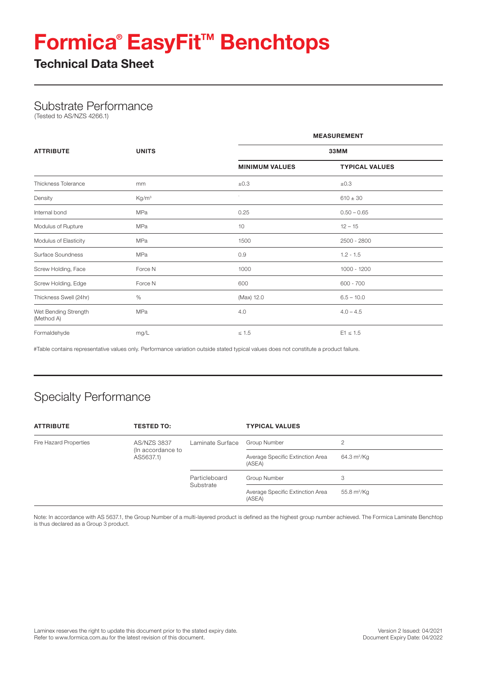# **Formica®EasyFit™ Benchtops**

Technical Data Sheet

#### Substrate Performance

(Tested to AS/NZS 4266.1)

|                                    |                   | <b>MEASUREMENT</b><br>33MM |                       |  |
|------------------------------------|-------------------|----------------------------|-----------------------|--|
| <b>ATTRIBUTE</b>                   | <b>UNITS</b>      |                            |                       |  |
|                                    |                   | <b>MINIMUM VALUES</b>      | <b>TYPICAL VALUES</b> |  |
| Thickness Tolerance                | mm                | ±0.3                       | ±0.3                  |  |
| Density                            | Kg/m <sup>3</sup> |                            | $610 \pm 30$          |  |
| Internal bond                      | MPa               | 0.25                       | $0.50 - 0.65$         |  |
| Modulus of Rupture                 | MPa               | 10                         | $12 - 15$             |  |
| Modulus of Elasticity              | MPa               | 1500                       | 2500 - 2800           |  |
| Surface Soundness                  | <b>MPa</b>        | 0.9                        | $1.2 - 1.5$           |  |
| Screw Holding, Face                | Force N           | 1000                       | $1000 - 1200$         |  |
| Screw Holding, Edge                | Force N           | 600                        | $600 - 700$           |  |
| Thickness Swell (24hr)             | %                 | (Max) 12.0                 | $6.5 - 10.0$          |  |
| Wet Bending Strength<br>(Method A) | <b>MPa</b>        | 4.0                        | $4.0 - 4.5$           |  |
| Formaldehyde                       | mg/L              | $\leq 1.5$                 | $E1 \le 1.5$          |  |

#Table contains representative values only. Performance variation outside stated typical values does not constitute a product failure.

## Specialty Performance

| <b>ATTRIBUTE</b>       | <b>TESTED TO:</b>                       |                            | <b>TYPICAL VALUES</b>                      |               |
|------------------------|-----------------------------------------|----------------------------|--------------------------------------------|---------------|
| Fire Hazard Properties | <b>AS/NZS 3837</b><br>(In accordance to | Laminate Surface           | Group Number                               | 2             |
|                        | AS5637.1)                               |                            | Average Specific Extinction Area<br>(ASEA) | 64.3 $m^2/Kq$ |
|                        |                                         | Particleboard<br>Substrate | Group Number                               | 3             |
|                        |                                         |                            | Average Specific Extinction Area<br>(ASEA) | 55.8 $m^2/Kq$ |

Note: In accordance with AS 5637.1, the Group Number of a multi-layered product is defined as the highest group number achieved. The Formica Laminate Benchtop is thus declared as a Group 3 product.